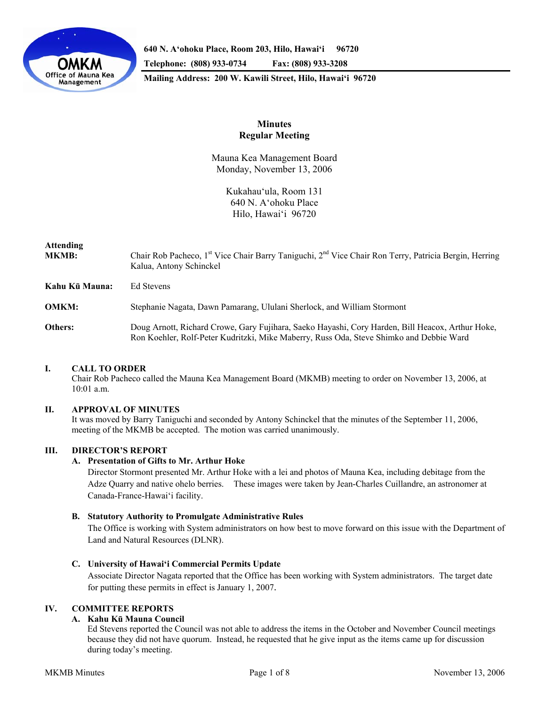

**640 N. A'ohoku Place, Room 203, Hilo, Hawai'i 96720 Telephone: (808) 933-0734 Fax: (808) 933-3208 Mailing Address: 200 W. Kawili Street, Hilo, Hawai'i 96720** 

# **Minutes Regular Meeting**

Mauna Kea Management Board Monday, November 13, 2006

> Kukahau'ula, Room 131 640 N. A'ohoku Place Hilo, Hawai'i 96720

### **Attending**

**MKMB:** Chair Rob Pacheco, 1<sup>st</sup> Vice Chair Barry Taniguchi, 2<sup>nd</sup> Vice Chair Ron Terry, Patricia Bergin, Herring Kalua, Antony Schinckel

**Kahu Kū Mauna:** Ed Stevens

**OMKM:** Stephanie Nagata, Dawn Pamarang, Ululani Sherlock, and William Stormont

**Others:** Doug Arnott, Richard Crowe, Gary Fujihara, Saeko Hayashi, Cory Harden, Bill Heacox, Arthur Hoke, Ron Koehler, Rolf-Peter Kudritzki, Mike Maberry, Russ Oda, Steve Shimko and Debbie Ward

## **I. CALL TO ORDER**

 Chair Rob Pacheco called the Mauna Kea Management Board (MKMB) meeting to order on November 13, 2006, at 10:01 a.m.

#### **II. APPROVAL OF MINUTES**

 It was moved by Barry Taniguchi and seconded by Antony Schinckel that the minutes of the September 11, 2006, meeting of the MKMB be accepted. The motion was carried unanimously.

## **III. DIRECTOR'S REPORT**

### **A. Presentation of Gifts to Mr. Arthur Hoke**

Director Stormont presented Mr. Arthur Hoke with a lei and photos of Mauna Kea, including debitage from the Adze Quarry and native ohelo berries. These images were taken by Jean-Charles Cuillandre, an astronomer at Canada-France-Hawai'i facility.

#### **B. Statutory Authority to Promulgate Administrative Rules**

The Office is working with System administrators on how best to move forward on this issue with the Department of Land and Natural Resources (DLNR).

## **C. University of Hawai'i Commercial Permits Update**

Associate Director Nagata reported that the Office has been working with System administrators. The target date for putting these permits in effect is January 1, 2007.

## **IV. COMMITTEE REPORTS**

## **A. Kahu Kū Mauna Council**

Ed Stevens reported the Council was not able to address the items in the October and November Council meetings because they did not have quorum. Instead, he requested that he give input as the items came up for discussion during today's meeting.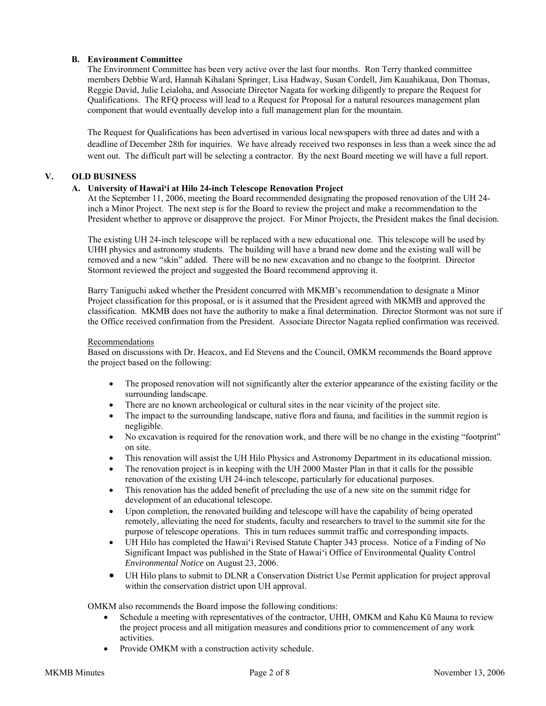## **B. Environment Committee**

The Environment Committee has been very active over the last four months. Ron Terry thanked committee members Debbie Ward, Hannah Kihalani Springer, Lisa Hadway, Susan Cordell, Jim Kauahikaua, Don Thomas, Reggie David, Julie Leialoha, and Associate Director Nagata for working diligently to prepare the Request for Qualifications. The RFQ process will lead to a Request for Proposal for a natural resources management plan component that would eventually develop into a full management plan for the mountain.

The Request for Qualifications has been advertised in various local newspapers with three ad dates and with a deadline of December 28th for inquiries. We have already received two responses in less than a week since the ad went out. The difficult part will be selecting a contractor. By the next Board meeting we will have a full report.

## **V. OLD BUSINESS**

## **A. University of Hawai'i at Hilo 24-inch Telescope Renovation Project**

At the September 11, 2006, meeting the Board recommended designating the proposed renovation of the UH 24 inch a Minor Project. The next step is for the Board to review the project and make a recommendation to the President whether to approve or disapprove the project. For Minor Projects, the President makes the final decision.

The existing UH 24-inch telescope will be replaced with a new educational one. This telescope will be used by UHH physics and astronomy students. The building will have a brand new dome and the existing wall will be removed and a new "skin" added. There will be no new excavation and no change to the footprint. Director Stormont reviewed the project and suggested the Board recommend approving it.

Barry Taniguchi asked whether the President concurred with MKMB's recommendation to designate a Minor Project classification for this proposal, or is it assumed that the President agreed with MKMB and approved the classification. MKMB does not have the authority to make a final determination. Director Stormont was not sure if the Office received confirmation from the President. Associate Director Nagata replied confirmation was received.

### Recommendations

Based on discussions with Dr. Heacox, and Ed Stevens and the Council, OMKM recommends the Board approve the project based on the following:

- The proposed renovation will not significantly alter the exterior appearance of the existing facility or the surrounding landscape.
- There are no known archeological or cultural sites in the near vicinity of the project site.
- The impact to the surrounding landscape, native flora and fauna, and facilities in the summit region is negligible.
- No excavation is required for the renovation work, and there will be no change in the existing "footprint" on site.
- This renovation will assist the UH Hilo Physics and Astronomy Department in its educational mission.
- The renovation project is in keeping with the UH 2000 Master Plan in that it calls for the possible renovation of the existing UH 24-inch telescope, particularly for educational purposes.
- This renovation has the added benefit of precluding the use of a new site on the summit ridge for development of an educational telescope.
- Upon completion, the renovated building and telescope will have the capability of being operated remotely, alleviating the need for students, faculty and researchers to travel to the summit site for the purpose of telescope operations. This in turn reduces summit traffic and corresponding impacts.
- UH Hilo has completed the Hawai'i Revised Statute Chapter 343 process. Notice of a Finding of No Significant Impact was published in the State of Hawai'i Office of Environmental Quality Control *Environmental Notice* on August 23, 2006.
- UH Hilo plans to submit to DLNR a Conservation District Use Permit application for project approval within the conservation district upon UH approval.

OMKM also recommends the Board impose the following conditions:

- Schedule a meeting with representatives of the contractor, UHH, OMKM and Kahu Kū Mauna to review the project process and all mitigation measures and conditions prior to commencement of any work activities.
- Provide OMKM with a construction activity schedule.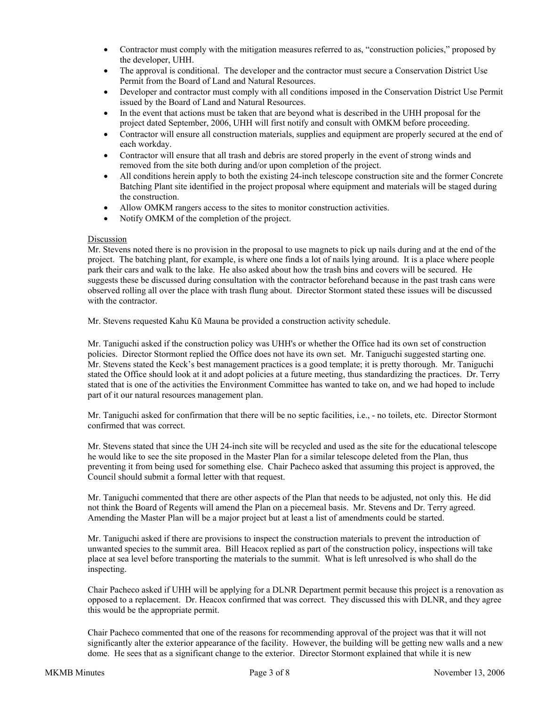- Contractor must comply with the mitigation measures referred to as, "construction policies," proposed by the developer, UHH.
- The approval is conditional. The developer and the contractor must secure a Conservation District Use Permit from the Board of Land and Natural Resources.
- Developer and contractor must comply with all conditions imposed in the Conservation District Use Permit issued by the Board of Land and Natural Resources.
- In the event that actions must be taken that are beyond what is described in the UHH proposal for the project dated September, 2006, UHH will first notify and consult with OMKM before proceeding.
- Contractor will ensure all construction materials, supplies and equipment are properly secured at the end of each workday.
- Contractor will ensure that all trash and debris are stored properly in the event of strong winds and removed from the site both during and/or upon completion of the project.
- All conditions herein apply to both the existing 24-inch telescope construction site and the former Concrete Batching Plant site identified in the project proposal where equipment and materials will be staged during the construction.
- Allow OMKM rangers access to the sites to monitor construction activities.
- Notify OMKM of the completion of the project.

### Discussion

Mr. Stevens noted there is no provision in the proposal to use magnets to pick up nails during and at the end of the project. The batching plant, for example, is where one finds a lot of nails lying around. It is a place where people park their cars and walk to the lake. He also asked about how the trash bins and covers will be secured. He suggests these be discussed during consultation with the contractor beforehand because in the past trash cans were observed rolling all over the place with trash flung about. Director Stormont stated these issues will be discussed with the contractor.

Mr. Stevens requested Kahu Kū Mauna be provided a construction activity schedule.

Mr. Taniguchi asked if the construction policy was UHH's or whether the Office had its own set of construction policies. Director Stormont replied the Office does not have its own set. Mr. Taniguchi suggested starting one. Mr. Stevens stated the Keck's best management practices is a good template; it is pretty thorough. Mr. Taniguchi stated the Office should look at it and adopt policies at a future meeting, thus standardizing the practices. Dr. Terry stated that is one of the activities the Environment Committee has wanted to take on, and we had hoped to include part of it our natural resources management plan.

Mr. Taniguchi asked for confirmation that there will be no septic facilities, i.e., - no toilets, etc. Director Stormont confirmed that was correct.

Mr. Stevens stated that since the UH 24-inch site will be recycled and used as the site for the educational telescope he would like to see the site proposed in the Master Plan for a similar telescope deleted from the Plan, thus preventing it from being used for something else. Chair Pacheco asked that assuming this project is approved, the Council should submit a formal letter with that request.

Mr. Taniguchi commented that there are other aspects of the Plan that needs to be adjusted, not only this. He did not think the Board of Regents will amend the Plan on a piecemeal basis. Mr. Stevens and Dr. Terry agreed. Amending the Master Plan will be a major project but at least a list of amendments could be started.

Mr. Taniguchi asked if there are provisions to inspect the construction materials to prevent the introduction of unwanted species to the summit area. Bill Heacox replied as part of the construction policy, inspections will take place at sea level before transporting the materials to the summit. What is left unresolved is who shall do the inspecting.

Chair Pacheco asked if UHH will be applying for a DLNR Department permit because this project is a renovation as opposed to a replacement. Dr. Heacox confirmed that was correct. They discussed this with DLNR, and they agree this would be the appropriate permit.

Chair Pacheco commented that one of the reasons for recommending approval of the project was that it will not significantly alter the exterior appearance of the facility. However, the building will be getting new walls and a new dome. He sees that as a significant change to the exterior. Director Stormont explained that while it is new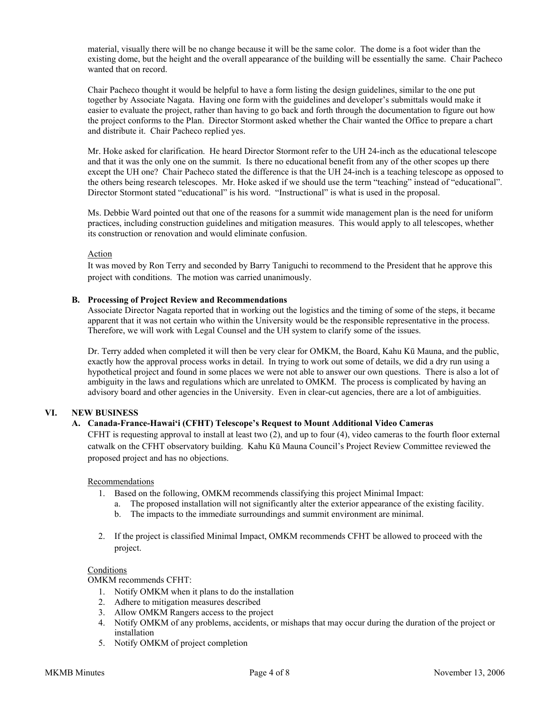material, visually there will be no change because it will be the same color. The dome is a foot wider than the existing dome, but the height and the overall appearance of the building will be essentially the same. Chair Pacheco wanted that on record.

Chair Pacheco thought it would be helpful to have a form listing the design guidelines, similar to the one put together by Associate Nagata. Having one form with the guidelines and developer's submittals would make it easier to evaluate the project, rather than having to go back and forth through the documentation to figure out how the project conforms to the Plan. Director Stormont asked whether the Chair wanted the Office to prepare a chart and distribute it. Chair Pacheco replied yes.

Mr. Hoke asked for clarification. He heard Director Stormont refer to the UH 24-inch as the educational telescope and that it was the only one on the summit. Is there no educational benefit from any of the other scopes up there except the UH one? Chair Pacheco stated the difference is that the UH 24-inch is a teaching telescope as opposed to the others being research telescopes. Mr. Hoke asked if we should use the term "teaching" instead of "educational". Director Stormont stated "educational" is his word. "Instructional" is what is used in the proposal.

Ms. Debbie Ward pointed out that one of the reasons for a summit wide management plan is the need for uniform practices, including construction guidelines and mitigation measures. This would apply to all telescopes, whether its construction or renovation and would eliminate confusion.

### Action

It was moved by Ron Terry and seconded by Barry Taniguchi to recommend to the President that he approve this project with conditions. The motion was carried unanimously.

### **B. Processing of Project Review and Recommendations**

Associate Director Nagata reported that in working out the logistics and the timing of some of the steps, it became apparent that it was not certain who within the University would be the responsible representative in the process. Therefore, we will work with Legal Counsel and the UH system to clarify some of the issues.

Dr. Terry added when completed it will then be very clear for OMKM, the Board, Kahu Kū Mauna, and the public, exactly how the approval process works in detail. In trying to work out some of details, we did a dry run using a hypothetical project and found in some places we were not able to answer our own questions. There is also a lot of ambiguity in the laws and regulations which are unrelated to OMKM. The process is complicated by having an advisory board and other agencies in the University. Even in clear-cut agencies, there are a lot of ambiguities.

## **VI. NEW BUSINESS**

## **A. Canada-France-Hawai'i (CFHT) Telescope's Request to Mount Additional Video Cameras**

CFHT is requesting approval to install at least two (2), and up to four (4), video cameras to the fourth floor external catwalk on the CFHT observatory building. Kahu Kū Mauna Council's Project Review Committee reviewed the proposed project and has no objections.

#### Recommendations

- 1. Based on the following, OMKM recommends classifying this project Minimal Impact:
	- a. The proposed installation will not significantly alter the exterior appearance of the existing facility.
	- b. The impacts to the immediate surroundings and summit environment are minimal.
- 2. If the project is classified Minimal Impact, OMKM recommends CFHT be allowed to proceed with the project.

#### Conditions

OMKM recommends CFHT:

- 1. Notify OMKM when it plans to do the installation
- 2. Adhere to mitigation measures described
- 3. Allow OMKM Rangers access to the project
- 4. Notify OMKM of any problems, accidents, or mishaps that may occur during the duration of the project or installation
- 5. Notify OMKM of project completion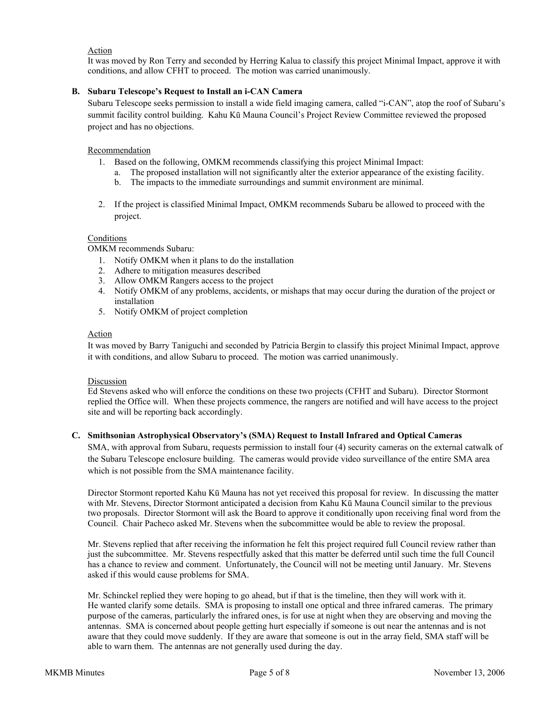## Action

It was moved by Ron Terry and seconded by Herring Kalua to classify this project Minimal Impact, approve it with conditions, and allow CFHT to proceed. The motion was carried unanimously.

## **B. Subaru Telescope's Request to Install an i-CAN Camera**

Subaru Telescope seeks permission to install a wide field imaging camera, called "i-CAN", atop the roof of Subaru's summit facility control building. Kahu Kū Mauna Council's Project Review Committee reviewed the proposed project and has no objections.

### Recommendation

- 1. Based on the following, OMKM recommends classifying this project Minimal Impact:
	- a. The proposed installation will not significantly alter the exterior appearance of the existing facility.
	- b. The impacts to the immediate surroundings and summit environment are minimal.
- 2. If the project is classified Minimal Impact, OMKM recommends Subaru be allowed to proceed with the project.

## Conditions

OMKM recommends Subaru:

- 1. Notify OMKM when it plans to do the installation
- 2. Adhere to mitigation measures described
- 3. Allow OMKM Rangers access to the project
- 4. Notify OMKM of any problems, accidents, or mishaps that may occur during the duration of the project or installation
- 5. Notify OMKM of project completion

### Action

It was moved by Barry Taniguchi and seconded by Patricia Bergin to classify this project Minimal Impact, approve it with conditions, and allow Subaru to proceed. The motion was carried unanimously.

#### Discussion

Ed Stevens asked who will enforce the conditions on these two projects (CFHT and Subaru). Director Stormont replied the Office will. When these projects commence, the rangers are notified and will have access to the project site and will be reporting back accordingly.

#### **C. Smithsonian Astrophysical Observatory's (SMA) Request to Install Infrared and Optical Cameras**

 SMA, with approval from Subaru, requests permission to install four (4) security cameras on the external catwalk of the Subaru Telescope enclosure building. The cameras would provide video surveillance of the entire SMA area which is not possible from the SMA maintenance facility.

Director Stormont reported Kahu Kū Mauna has not yet received this proposal for review. In discussing the matter with Mr. Stevens, Director Stormont anticipated a decision from Kahu Kū Mauna Council similar to the previous two proposals. Director Stormont will ask the Board to approve it conditionally upon receiving final word from the Council. Chair Pacheco asked Mr. Stevens when the subcommittee would be able to review the proposal.

Mr. Stevens replied that after receiving the information he felt this project required full Council review rather than just the subcommittee. Mr. Stevens respectfully asked that this matter be deferred until such time the full Council has a chance to review and comment. Unfortunately, the Council will not be meeting until January. Mr. Stevens asked if this would cause problems for SMA.

Mr. Schinckel replied they were hoping to go ahead, but if that is the timeline, then they will work with it. He wanted clarify some details. SMA is proposing to install one optical and three infrared cameras. The primary purpose of the cameras, particularly the infrared ones, is for use at night when they are observing and moving the antennas. SMA is concerned about people getting hurt especially if someone is out near the antennas and is not aware that they could move suddenly. If they are aware that someone is out in the array field, SMA staff will be able to warn them. The antennas are not generally used during the day.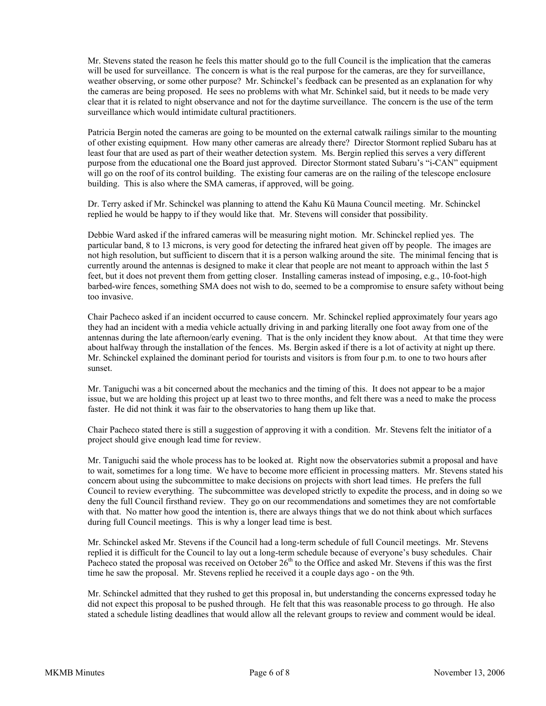Mr. Stevens stated the reason he feels this matter should go to the full Council is the implication that the cameras will be used for surveillance. The concern is what is the real purpose for the cameras, are they for surveillance, weather observing, or some other purpose? Mr. Schinckel's feedback can be presented as an explanation for why the cameras are being proposed. He sees no problems with what Mr. Schinkel said, but it needs to be made very clear that it is related to night observance and not for the daytime surveillance. The concern is the use of the term surveillance which would intimidate cultural practitioners.

Patricia Bergin noted the cameras are going to be mounted on the external catwalk railings similar to the mounting of other existing equipment. How many other cameras are already there? Director Stormont replied Subaru has at least four that are used as part of their weather detection system. Ms. Bergin replied this serves a very different purpose from the educational one the Board just approved. Director Stormont stated Subaru's "i-CAN" equipment will go on the roof of its control building. The existing four cameras are on the railing of the telescope enclosure building. This is also where the SMA cameras, if approved, will be going.

Dr. Terry asked if Mr. Schinckel was planning to attend the Kahu Kū Mauna Council meeting. Mr. Schinckel replied he would be happy to if they would like that. Mr. Stevens will consider that possibility.

Debbie Ward asked if the infrared cameras will be measuring night motion. Mr. Schinckel replied yes. The particular band, 8 to 13 microns, is very good for detecting the infrared heat given off by people. The images are not high resolution, but sufficient to discern that it is a person walking around the site. The minimal fencing that is currently around the antennas is designed to make it clear that people are not meant to approach within the last 5 feet, but it does not prevent them from getting closer. Installing cameras instead of imposing, e.g., 10-foot-high barbed-wire fences, something SMA does not wish to do, seemed to be a compromise to ensure safety without being too invasive.

Chair Pacheco asked if an incident occurred to cause concern. Mr. Schinckel replied approximately four years ago they had an incident with a media vehicle actually driving in and parking literally one foot away from one of the antennas during the late afternoon/early evening. That is the only incident they know about. At that time they were about halfway through the installation of the fences. Ms. Bergin asked if there is a lot of activity at night up there. Mr. Schinckel explained the dominant period for tourists and visitors is from four p.m. to one to two hours after sunset.

Mr. Taniguchi was a bit concerned about the mechanics and the timing of this. It does not appear to be a major issue, but we are holding this project up at least two to three months, and felt there was a need to make the process faster. He did not think it was fair to the observatories to hang them up like that.

Chair Pacheco stated there is still a suggestion of approving it with a condition. Mr. Stevens felt the initiator of a project should give enough lead time for review.

Mr. Taniguchi said the whole process has to be looked at. Right now the observatories submit a proposal and have to wait, sometimes for a long time. We have to become more efficient in processing matters. Mr. Stevens stated his concern about using the subcommittee to make decisions on projects with short lead times. He prefers the full Council to review everything. The subcommittee was developed strictly to expedite the process, and in doing so we deny the full Council firsthand review. They go on our recommendations and sometimes they are not comfortable with that. No matter how good the intention is, there are always things that we do not think about which surfaces during full Council meetings. This is why a longer lead time is best.

Mr. Schinckel asked Mr. Stevens if the Council had a long-term schedule of full Council meetings. Mr. Stevens replied it is difficult for the Council to lay out a long-term schedule because of everyone's busy schedules. Chair Pacheco stated the proposal was received on October  $26<sup>th</sup>$  to the Office and asked Mr. Stevens if this was the first time he saw the proposal. Mr. Stevens replied he received it a couple days ago - on the 9th.

Mr. Schinckel admitted that they rushed to get this proposal in, but understanding the concerns expressed today he did not expect this proposal to be pushed through. He felt that this was reasonable process to go through. He also stated a schedule listing deadlines that would allow all the relevant groups to review and comment would be ideal.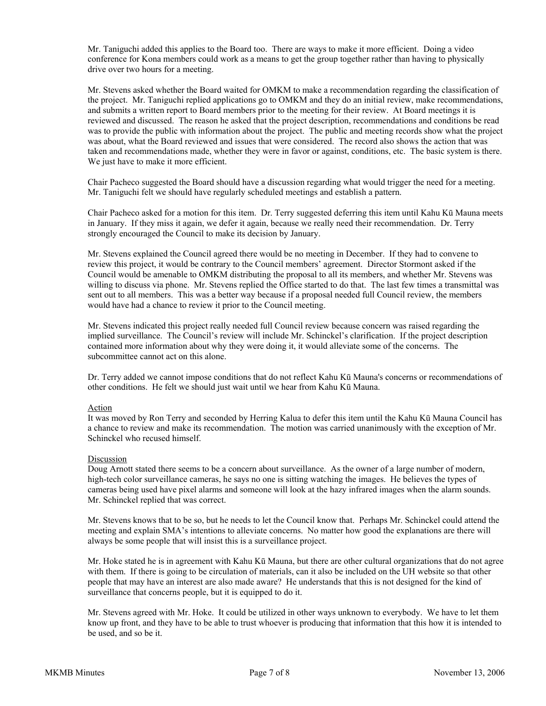Mr. Taniguchi added this applies to the Board too. There are ways to make it more efficient. Doing a video conference for Kona members could work as a means to get the group together rather than having to physically drive over two hours for a meeting.

Mr. Stevens asked whether the Board waited for OMKM to make a recommendation regarding the classification of the project. Mr. Taniguchi replied applications go to OMKM and they do an initial review, make recommendations, and submits a written report to Board members prior to the meeting for their review. At Board meetings it is reviewed and discussed. The reason he asked that the project description, recommendations and conditions be read was to provide the public with information about the project. The public and meeting records show what the project was about, what the Board reviewed and issues that were considered. The record also shows the action that was taken and recommendations made, whether they were in favor or against, conditions, etc. The basic system is there. We just have to make it more efficient.

Chair Pacheco suggested the Board should have a discussion regarding what would trigger the need for a meeting. Mr. Taniguchi felt we should have regularly scheduled meetings and establish a pattern.

Chair Pacheco asked for a motion for this item. Dr. Terry suggested deferring this item until Kahu Kū Mauna meets in January. If they miss it again, we defer it again, because we really need their recommendation. Dr. Terry strongly encouraged the Council to make its decision by January.

Mr. Stevens explained the Council agreed there would be no meeting in December. If they had to convene to review this project, it would be contrary to the Council members' agreement. Director Stormont asked if the Council would be amenable to OMKM distributing the proposal to all its members, and whether Mr. Stevens was willing to discuss via phone. Mr. Stevens replied the Office started to do that. The last few times a transmittal was sent out to all members. This was a better way because if a proposal needed full Council review, the members would have had a chance to review it prior to the Council meeting.

Mr. Stevens indicated this project really needed full Council review because concern was raised regarding the implied surveillance. The Council's review will include Mr. Schinckel's clarification. If the project description contained more information about why they were doing it, it would alleviate some of the concerns. The subcommittee cannot act on this alone.

Dr. Terry added we cannot impose conditions that do not reflect Kahu Kū Mauna's concerns or recommendations of other conditions. He felt we should just wait until we hear from Kahu Kū Mauna.

#### Action

It was moved by Ron Terry and seconded by Herring Kalua to defer this item until the Kahu Kū Mauna Council has a chance to review and make its recommendation. The motion was carried unanimously with the exception of Mr. Schinckel who recused himself.

#### Discussion

Doug Arnott stated there seems to be a concern about surveillance. As the owner of a large number of modern, high-tech color surveillance cameras, he says no one is sitting watching the images. He believes the types of cameras being used have pixel alarms and someone will look at the hazy infrared images when the alarm sounds. Mr. Schinckel replied that was correct.

Mr. Stevens knows that to be so, but he needs to let the Council know that. Perhaps Mr. Schinckel could attend the meeting and explain SMA's intentions to alleviate concerns. No matter how good the explanations are there will always be some people that will insist this is a surveillance project.

Mr. Hoke stated he is in agreement with Kahu Kū Mauna, but there are other cultural organizations that do not agree with them. If there is going to be circulation of materials, can it also be included on the UH website so that other people that may have an interest are also made aware? He understands that this is not designed for the kind of surveillance that concerns people, but it is equipped to do it.

Mr. Stevens agreed with Mr. Hoke. It could be utilized in other ways unknown to everybody. We have to let them know up front, and they have to be able to trust whoever is producing that information that this how it is intended to be used, and so be it.